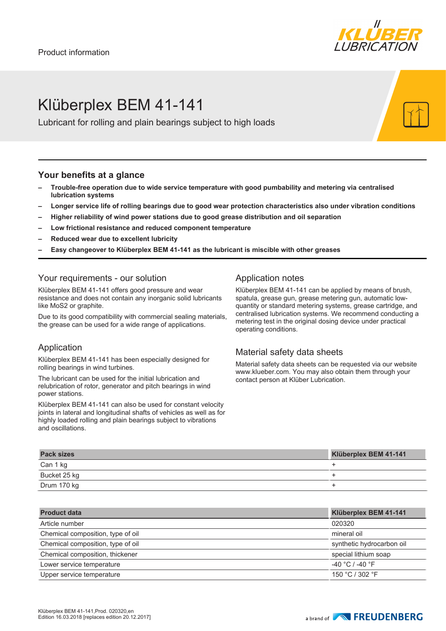

# Klüberplex BEM 41-141

Lubricant for rolling and plain bearings subject to high loads

#### **Your benefits at a glance**

- **– Trouble-free operation due to wide service temperature with good pumbability and metering via centralised lubrication systems**
- **– Longer service life of rolling bearings due to good wear protection characteristics also under vibration conditions**
- **– Higher reliability of wind power stations due to good grease distribution and oil separation**
- **– Low frictional resistance and reduced component temperature**
- **– Reduced wear due to excellent lubricity**
- **– Easy changeover to Klüberplex BEM 41-141 as the lubricant is miscible with other greases**

### Your requirements - our solution

Klüberplex BEM 41-141 offers good pressure and wear resistance and does not contain any inorganic solid lubricants like MoS2 or graphite.

Due to its good compatibility with commercial sealing materials, the grease can be used for a wide range of applications.

### Application

Klüberplex BEM 41-141 has been especially designed for rolling bearings in wind turbines.

The lubricant can be used for the initial lubrication and relubrication of rotor, generator and pitch bearings in wind power stations.

Klüberplex BEM 41-141 can also be used for constant velocity joints in lateral and longitudinal shafts of vehicles as well as for highly loaded rolling and plain bearings subject to vibrations and oscillations.

### Application notes

Klüberplex BEM 41-141 can be applied by means of brush, spatula, grease gun, grease metering gun, automatic lowquantity or standard metering systems, grease cartridge, and centralised lubrication systems. We recommend conducting a metering test in the original dosing device under practical operating conditions.

### Material safety data sheets

Material safety data sheets can be requested via our website www.klueber.com. You may also obtain them through your contact person at Klüber Lubrication.

| <b>Pack sizes</b> | Klüberplex BEM 41-141 |
|-------------------|-----------------------|
| Can 1 kg          |                       |
| Bucket 25 kg      |                       |
| Drum 170 kg       |                       |

| <b>Product data</b>               | Klüberplex BEM 41-141     |
|-----------------------------------|---------------------------|
| Article number                    | 020320                    |
| Chemical composition, type of oil | mineral oil               |
| Chemical composition, type of oil | synthetic hydrocarbon oil |
| Chemical composition, thickener   | special lithium soap      |
| Lower service temperature         | $-40 °C$ / -40 $°F$       |
| Upper service temperature         | 150 °C / 302 °F           |